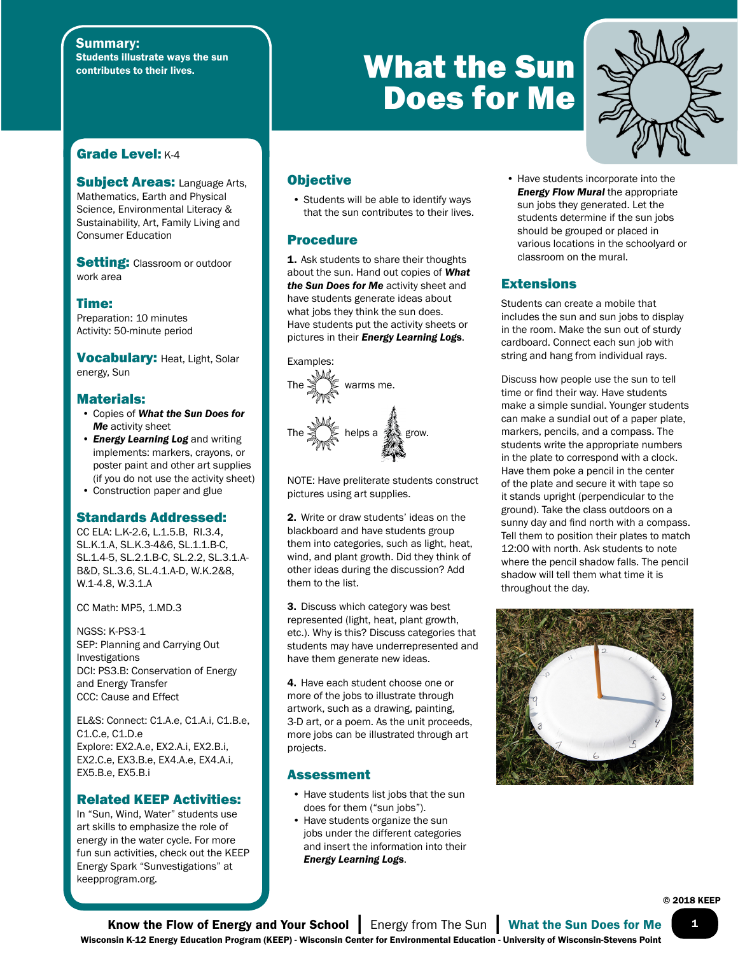#### Summary: Students illustrate ways the sun contributes to their lives.

# Grade Level: K-4

**Subject Areas: Language Arts,** Mathematics, Earth and Physical Science, Environmental Literacy & Sustainability, Art, Family Living and Consumer Education

**Setting: Classroom or outdoor** work area

Time: Preparation: 10 minutes Activity: 50-minute period

Vocabulary: Heat, Light, Solar energy, Sun

#### Materials:

- Copies of *What the Sun Does for Me* activity sheet
- *Energy Learning Log* and writing implements: markers, crayons, or poster paint and other art supplies (if you do not use the activity sheet)
- Construction paper and glue

### Standards Addressed:

CC ELA: L.K-2.6, L.1.5.B, RI.3.4, SL.K.1.A, SL.K.3-4&6, SL.1.1.B-C, SL.1.4-5, SL.2.1.B-C, SL.2.2, SL.3.1.A-B&D, SL.3.6, SL.4.1.A-D, W.K.2&8, W.1-4.8, W.3.1.A

CC Math: MP5, 1.MD.3

NGSS: K-PS3-1 SEP: Planning and Carrying Out Investigations DCI: PS3.B: Conservation of Energy and Energy Transfer CCC: Cause and Effect

EL&S: Connect: C1.A.e, C1.A.i, C1.B.e, C1.C.e, C1.D.e Explore: EX2.A.e, EX2.A.i, EX2.B.i, EX2.C.e, EX3.B.e, EX4.A.e, EX4.A.i, EX5.B.e, EX5.B.i

#### Related KEEP Activities:

In "Sun, Wind, Water" students use art skills to emphasize the role of energy in the water cycle. For more fun sun activities, check out the KEEP Energy Spark "Sunvestigations" at keepprogram.org.

## **Objective**

• Students will be able to identify ways that the sun contributes to their lives.

#### Procedure

1. Ask students to share their thoughts about the sun. Hand out copies of *What the Sun Does for Me* activity sheet and have students generate ideas about what jobs they think the sun does. Have students put the activity sheets or pictures in their *Energy Learning Log*s.



NOTE: Have preliterate students construct pictures using art supplies.

2. Write or draw students' ideas on the blackboard and have students group them into categories, such as light, heat, wind, and plant growth. Did they think of other ideas during the discussion? Add them to the list.

3. Discuss which category was best represented (light, heat, plant growth, etc.). Why is this? Discuss categories that students may have underrepresented and have them generate new ideas.

4. Have each student choose one or more of the jobs to illustrate through artwork, such as a drawing, painting, 3-D art, or a poem. As the unit proceeds, more jobs can be illustrated through art projects.

#### Assessment

- Have students list jobs that the sun does for them ("sun jobs").
- Have students organize the sun jobs under the different categories and insert the information into their *Energy Learning Log*s.



• Have students incorporate into the *Energy Flow Mural* the appropriate sun jobs they generated. Let the students determine if the sun jobs should be grouped or placed in various locations in the schoolyard or classroom on the mural.

## **Extensions**

What the Sun

Does for Me

Students can create a mobile that includes the sun and sun jobs to display in the room. Make the sun out of sturdy cardboard. Connect each sun job with string and hang from individual rays.

Discuss how people use the sun to tell time or find their way. Have students make a simple sundial. Younger students can make a sundial out of a paper plate, markers, pencils, and a compass. The students write the appropriate numbers in the plate to correspond with a clock. Have them poke a pencil in the center of the plate and secure it with tape so it stands upright (perpendicular to the ground). Take the class outdoors on a sunny day and find north with a compass. Tell them to position their plates to match 12:00 with north. Ask students to note where the pencil shadow falls. The pencil shadow will tell them what time it is throughout the day.